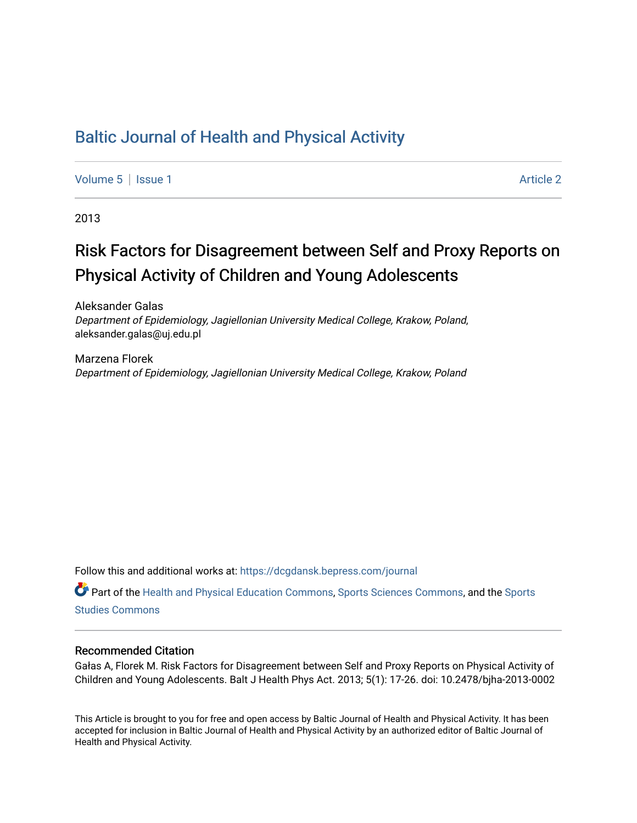# [Baltic Journal of Health and Physical Activity](https://dcgdansk.bepress.com/journal)

[Volume 5](https://dcgdansk.bepress.com/journal/vol5) | [Issue 1](https://dcgdansk.bepress.com/journal/vol5/iss1) Article 2

2013

# Risk Factors for Disagreement between Self and Proxy Reports on Physical Activity of Children and Young Adolescents

Aleksander Galas Department of Epidemiology, Jagiellonian University Medical College, Krakow, Poland, aleksander.galas@uj.edu.pl

Marzena Florek Department of Epidemiology, Jagiellonian University Medical College, Krakow, Poland

Follow this and additional works at: [https://dcgdansk.bepress.com/journal](https://dcgdansk.bepress.com/journal?utm_source=dcgdansk.bepress.com%2Fjournal%2Fvol5%2Fiss1%2F2&utm_medium=PDF&utm_campaign=PDFCoverPages)

Part of the [Health and Physical Education Commons](http://network.bepress.com/hgg/discipline/1327?utm_source=dcgdansk.bepress.com%2Fjournal%2Fvol5%2Fiss1%2F2&utm_medium=PDF&utm_campaign=PDFCoverPages), [Sports Sciences Commons](http://network.bepress.com/hgg/discipline/759?utm_source=dcgdansk.bepress.com%2Fjournal%2Fvol5%2Fiss1%2F2&utm_medium=PDF&utm_campaign=PDFCoverPages), and the [Sports](http://network.bepress.com/hgg/discipline/1198?utm_source=dcgdansk.bepress.com%2Fjournal%2Fvol5%2Fiss1%2F2&utm_medium=PDF&utm_campaign=PDFCoverPages)  [Studies Commons](http://network.bepress.com/hgg/discipline/1198?utm_source=dcgdansk.bepress.com%2Fjournal%2Fvol5%2Fiss1%2F2&utm_medium=PDF&utm_campaign=PDFCoverPages) 

#### Recommended Citation

Gałas A, Florek M. Risk Factors for Disagreement between Self and Proxy Reports on Physical Activity of Children and Young Adolescents. Balt J Health Phys Act. 2013; 5(1): 17-26. doi: 10.2478/bjha-2013-0002

This Article is brought to you for free and open access by Baltic Journal of Health and Physical Activity. It has been accepted for inclusion in Baltic Journal of Health and Physical Activity by an authorized editor of Baltic Journal of Health and Physical Activity.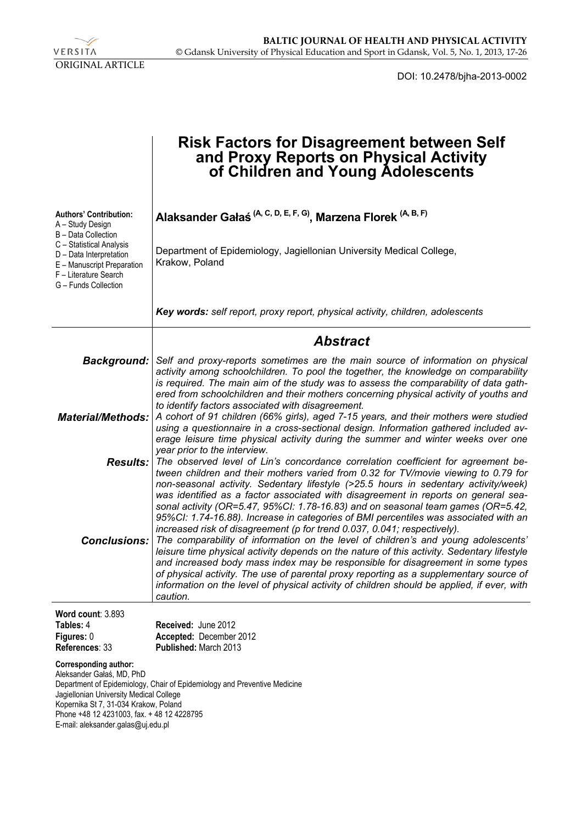| <b>VERSITA</b>   |
|------------------|
| ORIGINAL ARTICLE |

DOI: 10.2478/bjha-2013-0002

|                                                                                                                                                                                                                                                                                                        | <b>Risk Factors for Disagreement between Self</b><br>and Proxy Reports on Physical Activity<br>of Children and Young Adolescents                                                                                                                                                                                                                                                                                                                                                                                                                                                                             |  |  |
|--------------------------------------------------------------------------------------------------------------------------------------------------------------------------------------------------------------------------------------------------------------------------------------------------------|--------------------------------------------------------------------------------------------------------------------------------------------------------------------------------------------------------------------------------------------------------------------------------------------------------------------------------------------------------------------------------------------------------------------------------------------------------------------------------------------------------------------------------------------------------------------------------------------------------------|--|--|
| <b>Authors' Contribution:</b><br>A – Study Design<br>B - Data Collection                                                                                                                                                                                                                               | Alaksander Gałaś <sup> (A, C, D, E, F, G)</sup> , Marzena Florek <sup>(A, B, F)</sup>                                                                                                                                                                                                                                                                                                                                                                                                                                                                                                                        |  |  |
| C - Statistical Analysis<br>D - Data Interpretation<br>E - Manuscript Preparation<br>F - Literature Search<br>G - Funds Collection                                                                                                                                                                     | Department of Epidemiology, Jagiellonian University Medical College,<br>Krakow, Poland                                                                                                                                                                                                                                                                                                                                                                                                                                                                                                                       |  |  |
|                                                                                                                                                                                                                                                                                                        | Key words: self report, proxy report, physical activity, children, adolescents                                                                                                                                                                                                                                                                                                                                                                                                                                                                                                                               |  |  |
|                                                                                                                                                                                                                                                                                                        | <b>Abstract</b>                                                                                                                                                                                                                                                                                                                                                                                                                                                                                                                                                                                              |  |  |
| Background:                                                                                                                                                                                                                                                                                            | Self and proxy-reports sometimes are the main source of information on physical<br>activity among schoolchildren. To pool the together, the knowledge on comparability<br>is required. The main aim of the study was to assess the comparability of data gath-<br>ered from schoolchildren and their mothers concerning physical activity of youths and<br>to identify factors associated with disagreement.                                                                                                                                                                                                 |  |  |
| <b>Material/Methods:</b>                                                                                                                                                                                                                                                                               | A cohort of 91 children (66% girls), aged 7-15 years, and their mothers were studied<br>using a questionnaire in a cross-sectional design. Information gathered included av-<br>erage leisure time physical activity during the summer and winter weeks over one<br>year prior to the interview.                                                                                                                                                                                                                                                                                                             |  |  |
| <b>Results:</b>                                                                                                                                                                                                                                                                                        | The observed level of Lin's concordance correlation coefficient for agreement be-<br>tween children and their mothers varied from 0.32 for TV/movie viewing to 0.79 for<br>non-seasonal activity. Sedentary lifestyle (>25.5 hours in sedentary activity/week)<br>was identified as a factor associated with disagreement in reports on general sea-<br>sonal activity (OR=5.47, 95%Cl: 1.78-16.83) and on seasonal team games (OR=5.42,<br>95%Cl: 1.74-16.88). Increase in categories of BMI percentiles was associated with an<br>increased risk of disagreement (p for trend 0.037, 0.041; respectively). |  |  |
| <b>Conclusions:</b>                                                                                                                                                                                                                                                                                    | The comparability of information on the level of children's and young adolescents'<br>leisure time physical activity depends on the nature of this activity. Sedentary lifestyle<br>and increased body mass index may be responsible for disagreement in some types<br>of physical activity. The use of parental proxy reporting as a supplementary source of<br>information on the level of physical activity of children should be applied, if ever, with<br>caution.                                                                                                                                      |  |  |
| Word count: 3.893<br>Tables: 4                                                                                                                                                                                                                                                                         | Received: June 2012                                                                                                                                                                                                                                                                                                                                                                                                                                                                                                                                                                                          |  |  |
| Figures: 0<br>References: 33                                                                                                                                                                                                                                                                           | Accepted: December 2012<br>Published: March 2013                                                                                                                                                                                                                                                                                                                                                                                                                                                                                                                                                             |  |  |
| Corresponding author:<br>Aleksander Gałaś, MD, PhD<br>Department of Epidemiology, Chair of Epidemiology and Preventive Medicine<br>Jagiellonian University Medical College<br>Kopernika St 7, 31-034 Krakow, Poland<br>Phone +48 12 4231003, fax. +48 12 4228795<br>E-mail: aleksander.galas@uj.edu.pl |                                                                                                                                                                                                                                                                                                                                                                                                                                                                                                                                                                                                              |  |  |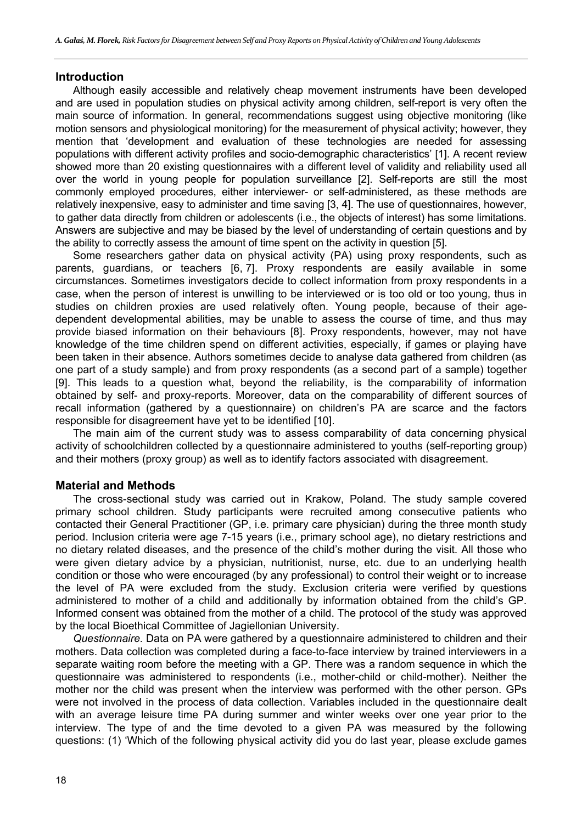#### **Introduction**

Although easily accessible and relatively cheap movement instruments have been developed and are used in population studies on physical activity among children, self-report is very often the main source of information. In general, recommendations suggest using objective monitoring (like motion sensors and physiological monitoring) for the measurement of physical activity; however, they mention that 'development and evaluation of these technologies are needed for assessing populations with different activity profiles and socio-demographic characteristics' [1]. A recent review showed more than 20 existing questionnaires with a different level of validity and reliability used all over the world in young people for population surveillance [2]. Self-reports are still the most commonly employed procedures, either interviewer- or self-administered, as these methods are relatively inexpensive, easy to administer and time saving [3, 4]. The use of questionnaires, however, to gather data directly from children or adolescents (i.e., the objects of interest) has some limitations. Answers are subjective and may be biased by the level of understanding of certain questions and by the ability to correctly assess the amount of time spent on the activity in question [5].

Some researchers gather data on physical activity (PA) using proxy respondents, such as parents, guardians, or teachers [6, 7]. Proxy respondents are easily available in some circumstances. Sometimes investigators decide to collect information from proxy respondents in a case, when the person of interest is unwilling to be interviewed or is too old or too young, thus in studies on children proxies are used relatively often. Young people, because of their agedependent developmental abilities, may be unable to assess the course of time, and thus may provide biased information on their behaviours [8]. Proxy respondents, however, may not have knowledge of the time children spend on different activities, especially, if games or playing have been taken in their absence. Authors sometimes decide to analyse data gathered from children (as one part of a study sample) and from proxy respondents (as a second part of a sample) together [9]. This leads to a question what, beyond the reliability, is the comparability of information obtained by self- and proxy-reports. Moreover, data on the comparability of different sources of recall information (gathered by a questionnaire) on children's PA are scarce and the factors responsible for disagreement have yet to be identified [10].

The main aim of the current study was to assess comparability of data concerning physical activity of schoolchildren collected by a questionnaire administered to youths (self-reporting group) and their mothers (proxy group) as well as to identify factors associated with disagreement.

## **Material and Methods**

The cross-sectional study was carried out in Krakow, Poland. The study sample covered primary school children. Study participants were recruited among consecutive patients who contacted their General Practitioner (GP, i.e. primary care physician) during the three month study period. Inclusion criteria were age 7-15 years (i.e., primary school age), no dietary restrictions and no dietary related diseases, and the presence of the child's mother during the visit. All those who were given dietary advice by a physician, nutritionist, nurse, etc. due to an underlying health condition or those who were encouraged (by any professional) to control their weight or to increase the level of PA were excluded from the study. Exclusion criteria were verified by questions administered to mother of a child and additionally by information obtained from the child's GP. Informed consent was obtained from the mother of a child. The protocol of the study was approved by the local Bioethical Committee of Jagiellonian University.

*Questionnaire.* Data on PA were gathered by a questionnaire administered to children and their mothers. Data collection was completed during a face-to-face interview by trained interviewers in a separate waiting room before the meeting with a GP. There was a random sequence in which the questionnaire was administered to respondents (i.e., mother-child or child-mother). Neither the mother nor the child was present when the interview was performed with the other person. GPs were not involved in the process of data collection. Variables included in the questionnaire dealt with an average leisure time PA during summer and winter weeks over one year prior to the interview. The type of and the time devoted to a given PA was measured by the following questions: (1) 'Which of the following physical activity did you do last year, please exclude games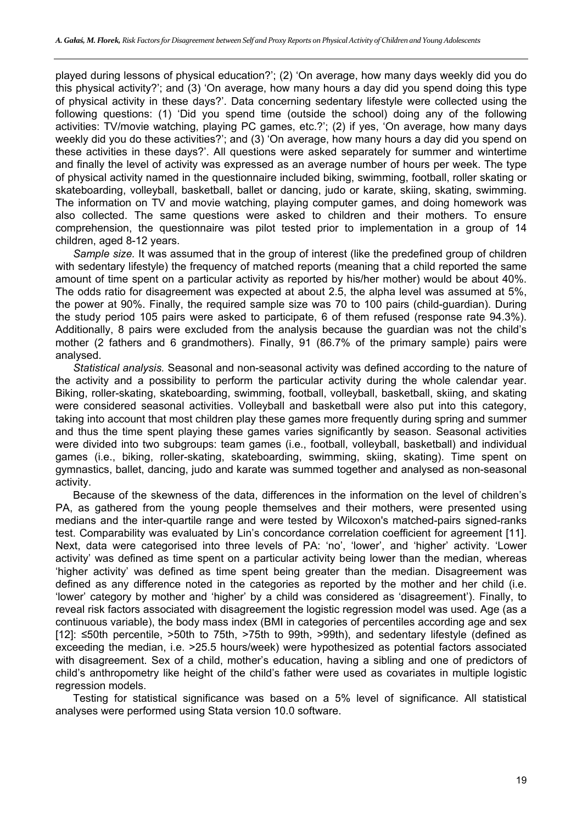played during lessons of physical education?'; (2) 'On average, how many days weekly did you do this physical activity?'; and (3) 'On average, how many hours a day did you spend doing this type of physical activity in these days?'. Data concerning sedentary lifestyle were collected using the following questions: (1) 'Did you spend time (outside the school) doing any of the following activities: TV/movie watching, playing PC games, etc.?'; (2) if yes, 'On average, how many days weekly did you do these activities?'; and (3) 'On average, how many hours a day did you spend on these activities in these days?'. All questions were asked separately for summer and wintertime and finally the level of activity was expressed as an average number of hours per week. The type of physical activity named in the questionnaire included biking, swimming, football, roller skating or skateboarding, volleyball, basketball, ballet or dancing, judo or karate, skiing, skating, swimming. The information on TV and movie watching, playing computer games, and doing homework was also collected. The same questions were asked to children and their mothers. To ensure comprehension, the questionnaire was pilot tested prior to implementation in a group of 14 children, aged 8-12 years.

*Sample size.* It was assumed that in the group of interest (like the predefined group of children with sedentary lifestyle) the frequency of matched reports (meaning that a child reported the same amount of time spent on a particular activity as reported by his/her mother) would be about 40%. The odds ratio for disagreement was expected at about 2.5, the alpha level was assumed at 5%, the power at 90%. Finally, the required sample size was 70 to 100 pairs (child-guardian). During the study period 105 pairs were asked to participate, 6 of them refused (response rate 94.3%). Additionally, 8 pairs were excluded from the analysis because the guardian was not the child's mother (2 fathers and 6 grandmothers). Finally, 91 (86.7% of the primary sample) pairs were analysed.

*Statistical analysis.* Seasonal and non-seasonal activity was defined according to the nature of the activity and a possibility to perform the particular activity during the whole calendar year. Biking, roller-skating, skateboarding, swimming, football, volleyball, basketball, skiing, and skating were considered seasonal activities. Volleyball and basketball were also put into this category, taking into account that most children play these games more frequently during spring and summer and thus the time spent playing these games varies significantly by season. Seasonal activities were divided into two subgroups: team games (i.e., football, volleyball, basketball) and individual games (i.e., biking, roller-skating, skateboarding, swimming, skiing, skating). Time spent on gymnastics, ballet, dancing, judo and karate was summed together and analysed as non-seasonal activity.

Because of the skewness of the data, differences in the information on the level of children's PA, as gathered from the young people themselves and their mothers, were presented using medians and the inter-quartile range and were tested by Wilcoxon's matched-pairs signed-ranks test. Comparability was evaluated by Lin's concordance correlation coefficient for agreement [11]. Next, data were categorised into three levels of PA: 'no', 'lower', and 'higher' activity. 'Lower activity' was defined as time spent on a particular activity being lower than the median, whereas 'higher activity' was defined as time spent being greater than the median. Disagreement was defined as any difference noted in the categories as reported by the mother and her child (i.e. 'lower' category by mother and 'higher' by a child was considered as 'disagreement'). Finally, to reveal risk factors associated with disagreement the logistic regression model was used. Age (as a continuous variable), the body mass index (BMI in categories of percentiles according age and sex [12]: ≤50th percentile, >50th to 75th, >75th to 99th, >99th), and sedentary lifestyle (defined as exceeding the median, i.e. >25.5 hours/week) were hypothesized as potential factors associated with disagreement. Sex of a child, mother's education, having a sibling and one of predictors of child's anthropometry like height of the child's father were used as covariates in multiple logistic regression models.

Testing for statistical significance was based on a 5% level of significance. All statistical analyses were performed using Stata version 10.0 software.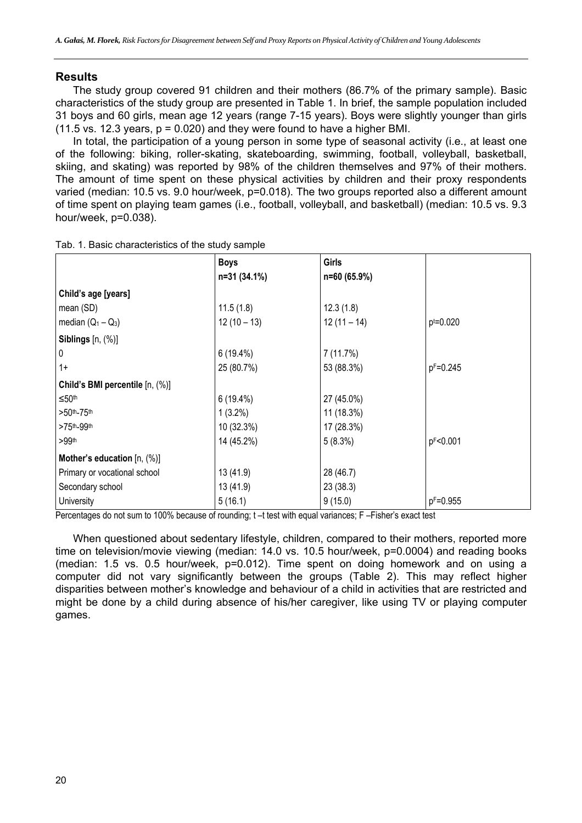# **Results**

The study group covered 91 children and their mothers (86.7% of the primary sample). Basic characteristics of the study group are presented in Table 1. In brief, the sample population included 31 boys and 60 girls, mean age 12 years (range 7-15 years). Boys were slightly younger than girls  $(11.5 \text{ vs. } 12.3 \text{ years}, p = 0.020)$  and they were found to have a higher BMI.

In total, the participation of a young person in some type of seasonal activity (i.e., at least one of the following: biking, roller-skating, skateboarding, swimming, football, volleyball, basketball, skiing, and skating) was reported by 98% of the children themselves and 97% of their mothers. The amount of time spent on these physical activities by children and their proxy respondents varied (median: 10.5 vs. 9.0 hour/week, p=0.018). The two groups reported also a different amount of time spent on playing team games (i.e., football, volleyball, and basketball) (median: 10.5 vs. 9.3 hour/week, p=0.038).

|                                       | <b>Boys</b>   | Girls        |               |
|---------------------------------------|---------------|--------------|---------------|
|                                       | n=31 (34.1%)  | n=60 (65.9%) |               |
| Child's age [years]                   |               |              |               |
| mean (SD)                             | 11.5(1.8)     | 12.3(1.8)    |               |
| median $(Q_1 - Q_3)$                  | $12(10 - 13)$ | $12(11-14)$  | $p^{t=0.020}$ |
| Siblings $[n, (\%)]$                  |               |              |               |
| 0                                     | 6 (19.4%)     | 7(11.7%)     |               |
| $1+$                                  | 25 (80.7%)    | 53 (88.3%)   | pF=0.245      |
| Child's BMI percentile [n, (%)]       |               |              |               |
| $\leq 50$ <sup>th</sup>               | 6(19.4%)      | 27 (45.0%)   |               |
| $>50$ th-75th                         | $1(3.2\%)$    | 11 (18.3%)   |               |
| >75th_99th                            | 10 (32.3%)    | 17 (28.3%)   |               |
| >99th                                 | 14 (45.2%)    | $5(8.3\%)$   | pF<0.001      |
| <b>Mother's education</b> $[n, (\%)]$ |               |              |               |
| Primary or vocational school          | 13 (41.9)     | 28 (46.7)    |               |
| Secondary school                      | 13 (41.9)     | 23(38.3)     |               |
| University                            | 5(16.1)       | 9(15.0)      | $pF = 0.955$  |

Tab. 1. Basic characteristics of the study sample

Percentages do not sum to 100% because of rounding; t –t test with equal variances; F –Fisher's exact test

When questioned about sedentary lifestyle, children, compared to their mothers, reported more time on television/movie viewing (median: 14.0 vs. 10.5 hour/week, p=0.0004) and reading books (median: 1.5 vs. 0.5 hour/week, p=0.012). Time spent on doing homework and on using a computer did not vary significantly between the groups (Table 2). This may reflect higher disparities between mother's knowledge and behaviour of a child in activities that are restricted and might be done by a child during absence of his/her caregiver, like using TV or playing computer games.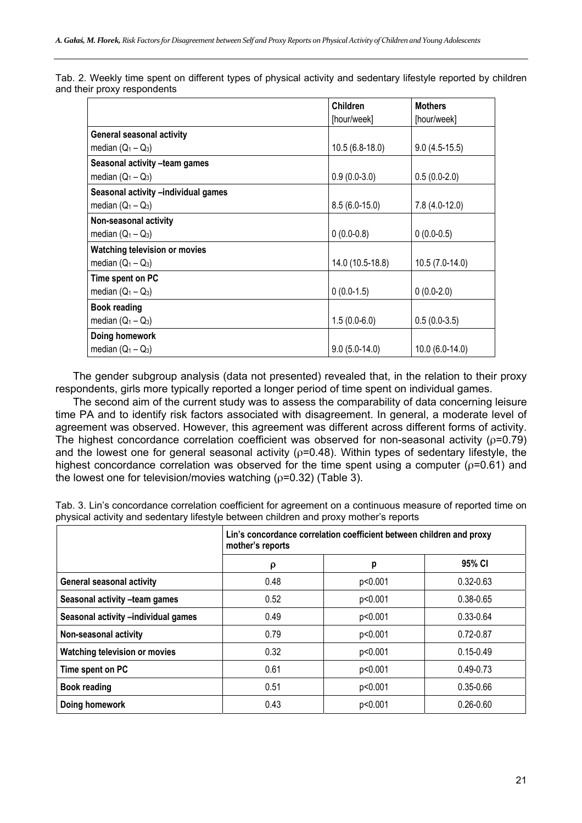Tab. 2. Weekly time spent on different types of physical activity and sedentary lifestyle reported by children and their proxy respondents

|                                      | <b>Children</b>  | <b>Mothers</b>   |
|--------------------------------------|------------------|------------------|
|                                      | [hour/week]      | [hour/week]      |
| <b>General seasonal activity</b>     |                  |                  |
| median $(Q_1 - Q_3)$                 | $10.5(6.8-18.0)$ | $9.0(4.5-15.5)$  |
| Seasonal activity -team games        |                  |                  |
| median $(Q_1 - Q_3)$                 | $0.9(0.0-3.0)$   | $0.5(0.0-2.0)$   |
| Seasonal activity -individual games  |                  |                  |
| median $(Q_1 - Q_3)$                 | $8.5(6.0-15.0)$  | 7.8 (4.0-12.0)   |
| Non-seasonal activity                |                  |                  |
| median $(Q_1 - Q_3)$                 | $0(0.0-0.8)$     | $0(0.0-0.5)$     |
| <b>Watching television or movies</b> |                  |                  |
| median $(Q_1 - Q_3)$                 | 14.0 (10.5-18.8) | $10.5(7.0-14.0)$ |
| Time spent on PC                     |                  |                  |
| median $(Q_1 - Q_3)$                 | $0(0.0-1.5)$     | $0(0.0-2.0)$     |
| <b>Book reading</b>                  |                  |                  |
| median $(Q_1 - Q_3)$                 | $1.5(0.0-6.0)$   | $0.5(0.0-3.5)$   |
| Doing homework                       |                  |                  |
| median $(Q_1 - Q_3)$                 | $9.0(5.0-14.0)$  | 10.0 (6.0-14.0)  |

The gender subgroup analysis (data not presented) revealed that, in the relation to their proxy respondents, girls more typically reported a longer period of time spent on individual games.

The second aim of the current study was to assess the comparability of data concerning leisure time PA and to identify risk factors associated with disagreement. In general, a moderate level of agreement was observed. However, this agreement was different across different forms of activity. The highest concordance correlation coefficient was observed for non-seasonal activity ( $\rho$ =0.79) and the lowest one for general seasonal activity ( $\rho$ =0.48). Within types of sedentary lifestyle, the highest concordance correlation was observed for the time spent using a computer ( $\rho$ =0.61) and the lowest one for television/movies watching  $(p=0.32)$  (Table 3).

|                                     | Lin's concordance correlation coefficient between children and proxy<br>mother's reports |         |               |
|-------------------------------------|------------------------------------------------------------------------------------------|---------|---------------|
|                                     | ρ                                                                                        | p       | 95% CI        |
| <b>General seasonal activity</b>    | 0.48                                                                                     | p<0.001 | $0.32 - 0.63$ |
| Seasonal activity -team games       | 0.52                                                                                     | p<0.001 | $0.38 - 0.65$ |
| Seasonal activity -individual games | 0.49                                                                                     | p<0.001 | $0.33 - 0.64$ |
| Non-seasonal activity               | 0.79                                                                                     | p<0.001 | $0.72 - 0.87$ |
| Watching television or movies       | 0.32                                                                                     | p<0.001 | $0.15 - 0.49$ |
| Time spent on PC                    | 0.61                                                                                     | p<0.001 | $0.49 - 0.73$ |
| <b>Book reading</b>                 | 0.51                                                                                     | p<0.001 | 0.35-0.66     |
| Doing homework                      | 0.43                                                                                     | p<0.001 | $0.26 - 0.60$ |

Tab. 3. Lin's concordance correlation coefficient for agreement on a continuous measure of reported time on physical activity and sedentary lifestyle between children and proxy mother's reports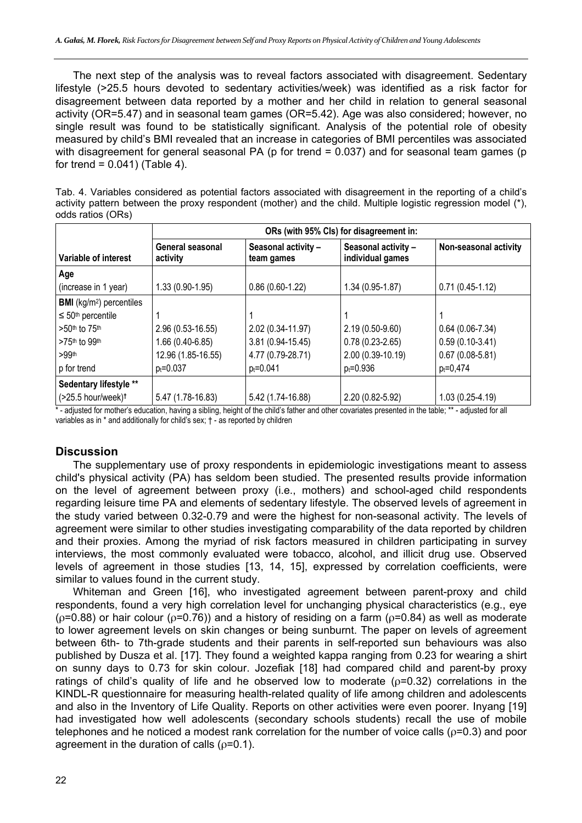The next step of the analysis was to reveal factors associated with disagreement. Sedentary lifestyle (>25.5 hours devoted to sedentary activities/week) was identified as a risk factor for disagreement between data reported by a mother and her child in relation to general seasonal activity (OR=5.47) and in seasonal team games (OR=5.42). Age was also considered; however, no single result was found to be statistically significant. Analysis of the potential role of obesity measured by child's BMI revealed that an increase in categories of BMI percentiles was associated with disagreement for general seasonal PA (p for trend = 0.037) and for seasonal team games (p for trend =  $0.041$ ) (Table 4).

Tab. 4. Variables considered as potential factors associated with disagreement in the reporting of a child's activity pattern between the proxy respondent (mother) and the child. Multiple logistic regression model (\*), odds ratios (ORs)

|                                    | ORs (with 95% Cls) for disagreement in: |                                   |                                         |                       |
|------------------------------------|-----------------------------------------|-----------------------------------|-----------------------------------------|-----------------------|
| Variable of interest               | General seasonal<br>activity            | Seasonal activity -<br>team games | Seasonal activity -<br>individual games | Non-seasonal activity |
| Age                                |                                         |                                   |                                         |                       |
| (increase in 1 year)               | 1.33 (0.90-1.95)                        | $0.86(0.60-1.22)$                 | 1.34 (0.95-1.87)                        | $0.71(0.45-1.12)$     |
| <b>BMI</b> ( $kg/m2$ ) percentiles |                                         |                                   |                                         |                       |
| $\leq 50$ <sup>th</sup> percentile |                                         |                                   |                                         |                       |
| $>50th$ to $75th$                  | 2.96 (0.53-16.55)                       | 2.02 (0.34-11.97)                 | $2.19(0.50-9.60)$                       | $0.64(0.06 - 7.34)$   |
| >75th to 99th                      | 1.66 (0.40-6.85)                        | 3.81 (0.94-15.45)                 | $0.78(0.23-2.65)$                       | $0.59(0.10-3.41)$     |
| >99 <sup>th</sup>                  | 12.96 (1.85-16.55)                      | 4.77 (0.79-28.71)                 | 2.00 (0.39-10.19)                       | $0.67(0.08-5.81)$     |
| p for trend                        | $p_t = 0.037$                           | $p_t = 0.041$                     | $p_t = 0.936$                           | $p_t = 0,474$         |
| Sedentary lifestyle **             |                                         |                                   |                                         |                       |
| (>25.5 hour/week)t                 | 5.47 (1.78-16.83)                       | 5.42 (1.74-16.88)                 | 2.20 (0.82-5.92)                        | 1.03 (0.25-4.19)      |

\* - adjusted for mother's education, having a sibling, height of the child's father and other covariates presented in the table; \*\* - adjusted for all variables as in \* and additionally for child's sex; † - as reported by children

# **Discussion**

The supplementary use of proxy respondents in epidemiologic investigations meant to assess child's physical activity (PA) has seldom been studied. The presented results provide information on the level of agreement between proxy (i.e., mothers) and school-aged child respondents regarding leisure time PA and elements of sedentary lifestyle. The observed levels of agreement in the study varied between 0.32-0.79 and were the highest for non-seasonal activity. The levels of agreement were similar to other studies investigating comparability of the data reported by children and their proxies. Among the myriad of risk factors measured in children participating in survey interviews, the most commonly evaluated were tobacco, alcohol, and illicit drug use. Observed levels of agreement in those studies [13, 14, 15], expressed by correlation coefficients, were similar to values found in the current study.

Whiteman and Green [16], who investigated agreement between parent-proxy and child respondents, found a very high correlation level for unchanging physical characteristics (e.g., eye ( $ρ=0.88$ ) or hair colour ( $ρ=0.76$ )) and a history of residing on a farm ( $ρ=0.84$ ) as well as moderate to lower agreement levels on skin changes or being sunburnt. The paper on levels of agreement between 6th- to 7th-grade students and their parents in self-reported sun behaviours was also published by Dusza et al. [17]. They found a weighted kappa ranging from 0.23 for wearing a shirt on sunny days to 0.73 for skin colour. Jozefiak [18] had compared child and parent-by proxy ratings of child's quality of life and he observed low to moderate ( $\rho$ =0.32) correlations in the KINDL-R questionnaire for measuring health-related quality of life among children and adolescents and also in the Inventory of Life Quality. Reports on other activities were even poorer. Inyang [19] had investigated how well adolescents (secondary schools students) recall the use of mobile telephones and he noticed a modest rank correlation for the number of voice calls ( $\rho$ =0.3) and poor agreement in the duration of calls ( $\rho$ =0.1).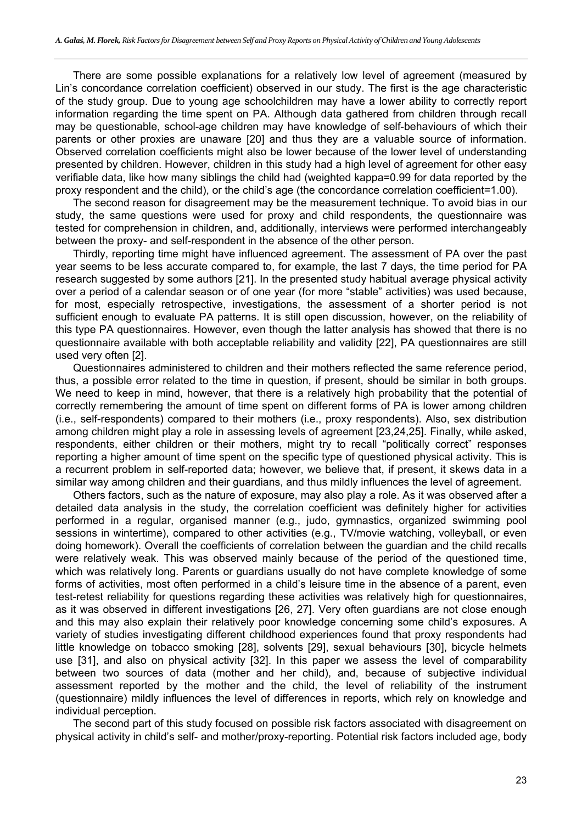There are some possible explanations for a relatively low level of agreement (measured by Lin's concordance correlation coefficient) observed in our study. The first is the age characteristic of the study group. Due to young age schoolchildren may have a lower ability to correctly report information regarding the time spent on PA. Although data gathered from children through recall may be questionable, school-age children may have knowledge of self-behaviours of which their parents or other proxies are unaware [20] and thus they are a valuable source of information. Observed correlation coefficients might also be lower because of the lower level of understanding presented by children. However, children in this study had a high level of agreement for other easy verifiable data, like how many siblings the child had (weighted kappa=0.99 for data reported by the proxy respondent and the child), or the child's age (the concordance correlation coefficient=1.00).

The second reason for disagreement may be the measurement technique. To avoid bias in our study, the same questions were used for proxy and child respondents, the questionnaire was tested for comprehension in children, and, additionally, interviews were performed interchangeably between the proxy- and self-respondent in the absence of the other person.

Thirdly, reporting time might have influenced agreement. The assessment of PA over the past year seems to be less accurate compared to, for example, the last 7 days, the time period for PA research suggested by some authors [21]. In the presented study habitual average physical activity over a period of a calendar season or of one year (for more "stable" activities) was used because, for most, especially retrospective, investigations, the assessment of a shorter period is not sufficient enough to evaluate PA patterns. It is still open discussion, however, on the reliability of this type PA questionnaires. However, even though the latter analysis has showed that there is no questionnaire available with both acceptable reliability and validity [22], PA questionnaires are still used very often [2].

Questionnaires administered to children and their mothers reflected the same reference period, thus, a possible error related to the time in question, if present, should be similar in both groups. We need to keep in mind, however, that there is a relatively high probability that the potential of correctly remembering the amount of time spent on different forms of PA is lower among children (i.e., self-respondents) compared to their mothers (i.e., proxy respondents). Also, sex distribution among children might play a role in assessing levels of agreement [23,24,25]. Finally, while asked, respondents, either children or their mothers, might try to recall "politically correct" responses reporting a higher amount of time spent on the specific type of questioned physical activity. This is a recurrent problem in self-reported data; however, we believe that, if present, it skews data in a similar way among children and their guardians, and thus mildly influences the level of agreement.

Others factors, such as the nature of exposure, may also play a role. As it was observed after a detailed data analysis in the study, the correlation coefficient was definitely higher for activities performed in a regular, organised manner (e.g., judo, gymnastics, organized swimming pool sessions in wintertime), compared to other activities (e.g., TV/movie watching, volleyball, or even doing homework). Overall the coefficients of correlation between the guardian and the child recalls were relatively weak. This was observed mainly because of the period of the questioned time, which was relatively long. Parents or guardians usually do not have complete knowledge of some forms of activities, most often performed in a child's leisure time in the absence of a parent, even test-retest reliability for questions regarding these activities was relatively high for questionnaires, as it was observed in different investigations [26, 27]. Very often guardians are not close enough and this may also explain their relatively poor knowledge concerning some child's exposures. A variety of studies investigating different childhood experiences found that proxy respondents had little knowledge on tobacco smoking [28], solvents [29], sexual behaviours [30], bicycle helmets use [31], and also on physical activity [32]. In this paper we assess the level of comparability between two sources of data (mother and her child), and, because of subjective individual assessment reported by the mother and the child, the level of reliability of the instrument (questionnaire) mildly influences the level of differences in reports, which rely on knowledge and individual perception.

The second part of this study focused on possible risk factors associated with disagreement on physical activity in child's self- and mother/proxy-reporting. Potential risk factors included age, body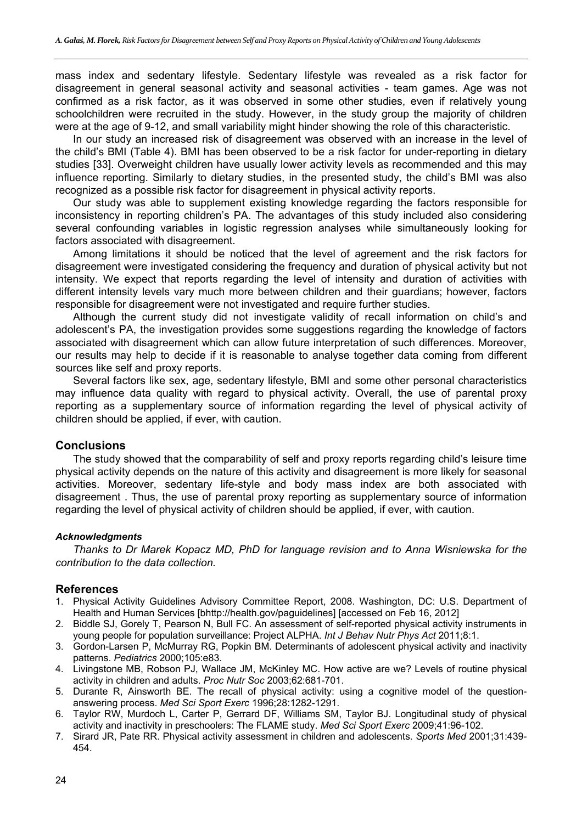mass index and sedentary lifestyle. Sedentary lifestyle was revealed as a risk factor for disagreement in general seasonal activity and seasonal activities - team games. Age was not confirmed as a risk factor, as it was observed in some other studies, even if relatively young schoolchildren were recruited in the study. However, in the study group the majority of children were at the age of 9-12, and small variability might hinder showing the role of this characteristic.

In our study an increased risk of disagreement was observed with an increase in the level of the child's BMI (Table 4). BMI has been observed to be a risk factor for under-reporting in dietary studies [33]. Overweight children have usually lower activity levels as recommended and this may influence reporting. Similarly to dietary studies, in the presented study, the child's BMI was also recognized as a possible risk factor for disagreement in physical activity reports.

Our study was able to supplement existing knowledge regarding the factors responsible for inconsistency in reporting children's PA. The advantages of this study included also considering several confounding variables in logistic regression analyses while simultaneously looking for factors associated with disagreement.

Among limitations it should be noticed that the level of agreement and the risk factors for disagreement were investigated considering the frequency and duration of physical activity but not intensity. We expect that reports regarding the level of intensity and duration of activities with different intensity levels vary much more between children and their guardians; however, factors responsible for disagreement were not investigated and require further studies.

Although the current study did not investigate validity of recall information on child's and adolescent's PA, the investigation provides some suggestions regarding the knowledge of factors associated with disagreement which can allow future interpretation of such differences. Moreover, our results may help to decide if it is reasonable to analyse together data coming from different sources like self and proxy reports.

Several factors like sex, age, sedentary lifestyle, BMI and some other personal characteristics may influence data quality with regard to physical activity. Overall, the use of parental proxy reporting as a supplementary source of information regarding the level of physical activity of children should be applied, if ever, with caution.

## **Conclusions**

The study showed that the comparability of self and proxy reports regarding child's leisure time physical activity depends on the nature of this activity and disagreement is more likely for seasonal activities. Moreover, sedentary life-style and body mass index are both associated with disagreement . Thus, the use of parental proxy reporting as supplementary source of information regarding the level of physical activity of children should be applied, if ever, with caution.

## *Acknowledgments*

*Thanks to Dr Marek Kopacz MD, PhD for language revision and to Anna Wisniewska for the contribution to the data collection.* 

## **References**

- 1. Physical Activity Guidelines Advisory Committee Report, 2008. Washington, DC: U.S. Department of Health and Human Services [bhttp://health.gov/paguidelines] [accessed on Feb 16, 2012]
- 2. Biddle SJ, Gorely T, Pearson N, Bull FC. An assessment of self-reported physical activity instruments in young people for population surveillance: Project ALPHA. *Int J Behav Nutr Phys Act* 2011;8:1.
- 3. Gordon-Larsen P, McMurray RG, Popkin BM. Determinants of adolescent physical activity and inactivity patterns. *Pediatrics* 2000;105:e83.
- 4. Livingstone MB, Robson PJ, Wallace JM, McKinley MC. How active are we? Levels of routine physical activity in children and adults. *Proc Nutr Soc* 2003;62:681-701.
- 5. Durante R, Ainsworth BE. The recall of physical activity: using a cognitive model of the questionanswering process. *Med Sci Sport Exerc* 1996;28:1282-1291.
- 6. Taylor RW, Murdoch L, Carter P, Gerrard DF, Williams SM, Taylor BJ. Longitudinal study of physical activity and inactivity in preschoolers: The FLAME study. *Med Sci Sport Exerc* 2009;41:96-102.
- 7. Sirard JR, Pate RR. Physical activity assessment in children and adolescents. *Sports Med* 2001;31:439- 454.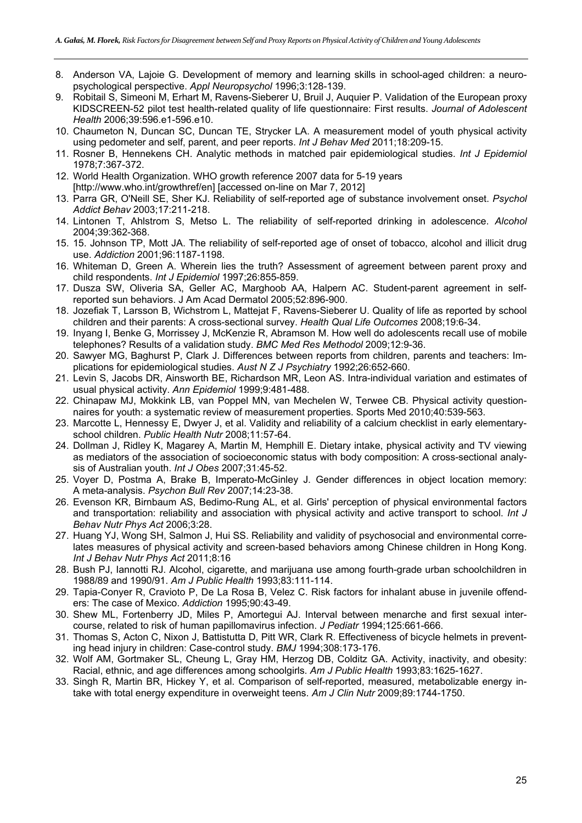- 8. Anderson VA, Lajoie G. Development of memory and learning skills in school-aged children: a neuropsychological perspective. *Appl Neuropsychol* 1996;3:128-139.
- 9. Robitail S, Simeoni M, Erhart M, Ravens-Sieberer U, Bruil J, Auquier P. Validation of the European proxy KIDSCREEN-52 pilot test health-related quality of life questionnaire: First results. *Journal of Adolescent Health* 2006;39:596.e1-596.e10.
- 10. Chaumeton N, Duncan SC, Duncan TE, Strycker LA. A measurement model of youth physical activity using pedometer and self, parent, and peer reports. *Int J Behav Med* 2011;18:209-15.
- 11. Rosner B, Hennekens CH. Analytic methods in matched pair epidemiological studies. *Int J Epidemiol* 1978;7:367-372.
- 12. World Health Organization. WHO growth reference 2007 data for 5-19 years [http://www.who.int/growthref/en] [accessed on-line on Mar 7, 2012]
- 13. Parra GR, O'Neill SE, Sher KJ. Reliability of self-reported age of substance involvement onset. *Psychol Addict Behav* 2003;17:211-218.
- 14. Lintonen T, Ahlstrom S, Metso L. The reliability of self-reported drinking in adolescence. *Alcohol* 2004;39:362-368.
- 15. 15. Johnson TP, Mott JA. The reliability of self-reported age of onset of tobacco, alcohol and illicit drug use. *Addiction* 2001;96:1187-1198.
- 16. Whiteman D, Green A. Wherein lies the truth? Assessment of agreement between parent proxy and child respondents. *Int J Epidemiol* 1997;26:855-859.
- 17. Dusza SW, Oliveria SA, Geller AC, Marghoob AA, Halpern AC. Student-parent agreement in selfreported sun behaviors. J Am Acad Dermatol 2005;52:896-900.
- 18. Jozefiak T, Larsson B, Wichstrom L, Mattejat F, Ravens-Sieberer U. Quality of life as reported by school children and their parents: A cross-sectional survey. *Health Qual Life Outcomes* 2008;19:6-34.
- 19. Inyang I, Benke G, Morrissey J, McKenzie R, Abramson M. How well do adolescents recall use of mobile telephones? Results of a validation study. *BMC Med Res Methodol* 2009;12:9-36.
- 20. Sawyer MG, Baghurst P, Clark J. Differences between reports from children, parents and teachers: Implications for epidemiological studies. *Aust N Z J Psychiatry* 1992;26:652-660.
- 21. Levin S, Jacobs DR, Ainsworth BE, Richardson MR, Leon AS. Intra-individual variation and estimates of usual physical activity. *Ann Epidemiol* 1999;9:481-488.
- 22. Chinapaw MJ, Mokkink LB, van Poppel MN, van Mechelen W, Terwee CB. Physical activity questionnaires for youth: a systematic review of measurement properties. Sports Med 2010;40:539-563.
- 23. Marcotte L, Hennessy E, Dwyer J, et al. Validity and reliability of a calcium checklist in early elementaryschool children. *Public Health Nutr* 2008;11:57-64.
- 24. Dollman J, Ridley K, Magarey A, Martin M, Hemphill E. Dietary intake, physical activity and TV viewing as mediators of the association of socioeconomic status with body composition: A cross-sectional analysis of Australian youth. *Int J Obes* 2007;31:45-52.
- 25. Voyer D, Postma A, Brake B, Imperato-McGinley J. Gender differences in object location memory: A meta-analysis. *Psychon Bull Rev* 2007;14:23-38.
- 26. Evenson KR, Birnbaum AS, Bedimo-Rung AL, et al. Girls' perception of physical environmental factors and transportation: reliability and association with physical activity and active transport to school. *Int J Behav Nutr Phys Act* 2006;3:28.
- 27. Huang YJ, Wong SH, Salmon J, Hui SS. Reliability and validity of psychosocial and environmental correlates measures of physical activity and screen-based behaviors among Chinese children in Hong Kong. *Int J Behav Nutr Phys Act* 2011;8:16
- 28. Bush PJ, Iannotti RJ. Alcohol, cigarette, and marijuana use among fourth-grade urban schoolchildren in 1988/89 and 1990/91. *Am J Public Health* 1993;83:111-114.
- 29. Tapia-Conyer R, Cravioto P, De La Rosa B, Velez C. Risk factors for inhalant abuse in juvenile offenders: The case of Mexico. *Addiction* 1995;90:43-49.
- 30. Shew ML, Fortenberry JD, Miles P, Amortegui AJ. Interval between menarche and first sexual intercourse, related to risk of human papillomavirus infection. *J Pediatr* 1994;125:661-666.
- 31. Thomas S, Acton C, Nixon J, Battistutta D, Pitt WR, Clark R. Effectiveness of bicycle helmets in preventing head injury in children: Case-control study. *BMJ* 1994;308:173-176.
- 32. Wolf AM, Gortmaker SL, Cheung L, Gray HM, Herzog DB, Colditz GA. Activity, inactivity, and obesity: Racial, ethnic, and age differences among schoolgirls. *Am J Public Health* 1993;83:1625-1627.
- 33. Singh R, Martin BR, Hickey Y, et al. Comparison of self-reported, measured, metabolizable energy intake with total energy expenditure in overweight teens. *Am J Clin Nutr* 2009;89:1744-1750.